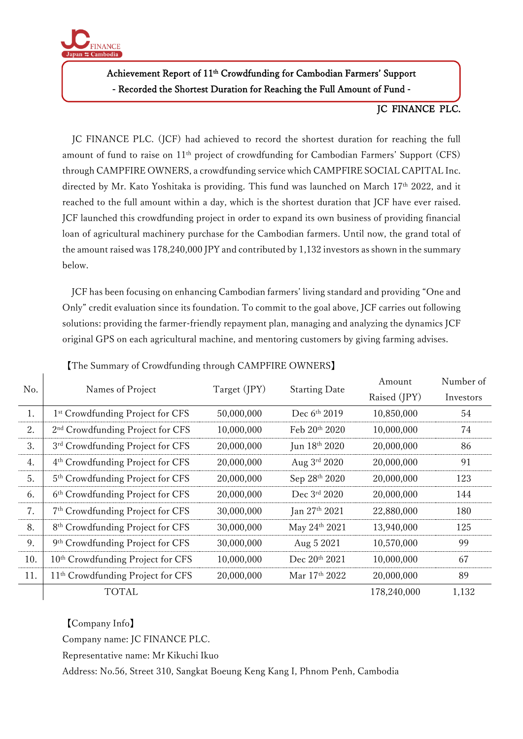

## Achievement Report of 11<sup>th</sup> Crowdfunding for Cambodian Farmers' Support - Recorded the Shortest Duration for Reaching the Full Amount of Fund -

## JC FINANCE PLC.

JC FINANCE PLC. (JCF) had achieved to record the shortest duration for reaching the full amount of fund to raise on  $11<sup>th</sup>$  project of crowdfunding for Cambodian Farmers' Support (CFS) through CAMPFIRE OWNERS, a crowdfunding service which CAMPFIRE SOCIAL CAPITAL Inc. directed by Mr. Kato Yoshitaka is providing. This fund was launched on March 17<sup>th</sup> 2022, and it reached to the full amount within a day, which is the shortest duration that JCF have ever raised. JCF launched this crowdfunding project in order to expand its own business of providing financial loan of agricultural machinery purchase for the Cambodian farmers. Until now, the grand total of the amount raised was 178,240,000 JPY and contributed by 1,132 investors as shown in the summary below.

JCF has been focusing on enhancing Cambodian farmers' living standard and providing "One and Only" credit evaluation since its foundation. To commit to the goal above, JCF carries out following solutions: providing the farmer-friendly repayment plan, managing and analyzing the dynamics JCF original GPS on each agricultural machine, and mentoring customers by giving farming advises.

| No. | Names of Project                              | Target (JPY) | <b>Starting Date</b> | Amount       | Number of |
|-----|-----------------------------------------------|--------------|----------------------|--------------|-----------|
|     |                                               |              |                      | Raised (JPY) | Investors |
| 1.  | 1 <sup>st</sup> Crowdfunding Project for CFS  | 50,000,000   | Dec $6th 2019$       | 10,850,000   | 54        |
| 2.  | 2 <sup>nd</sup> Crowdfunding Project for CFS  | 10,000,000   | Feb $20th 2020$      | 10,000,000   | 74        |
| 3.  | 3rd Crowdfunding Project for CFS              | 20,000,000   | Jun 18th 2020        | 20,000,000   | 86        |
| 4.  | 4 <sup>th</sup> Crowdfunding Project for CFS  | 20,000,000   | Aug 3rd 2020         | 20,000,000   | 91        |
| 5.  | 5 <sup>th</sup> Crowdfunding Project for CFS  | 20,000,000   | Sep 28th 2020        | 20,000,000   | 123       |
| 6.  | 6 <sup>th</sup> Crowdfunding Project for CFS  | 20,000,000   | Dec 3rd 2020         | 20,000,000   | 144       |
| 7.  | 7 <sup>th</sup> Crowdfunding Project for CFS  | 30,000,000   | Jan 27th 2021        | 22,880,000   | 180       |
| 8.  | 8 <sup>th</sup> Crowdfunding Project for CFS  | 30,000,000   | May 24th 2021        | 13,940,000   | 125       |
| 9.  | 9th Crowdfunding Project for CFS              | 30,000,000   | Aug 5 2021           | 10,570,000   | 99        |
| 10. | 10 <sup>th</sup> Crowdfunding Project for CFS | 10,000,000   | Dec 20th 2021        | 10,000,000   | 67        |
| 11. | 11 <sup>th</sup> Crowdfunding Project for CFS | 20,000,000   | Mar 17th 2022        | 20,000,000   | 89        |
|     | <b>TOTAL</b>                                  |              |                      | 178,240,000  | 1,132     |

【The Summary of Crowdfunding through CAMPFIRE OWNERS】

【Company Info】

Company name: JC FINANCE PLC.

Representative name: Mr Kikuchi Ikuo

Address: No.56, Street 310, Sangkat Boeung Keng Kang I, Phnom Penh, Cambodia